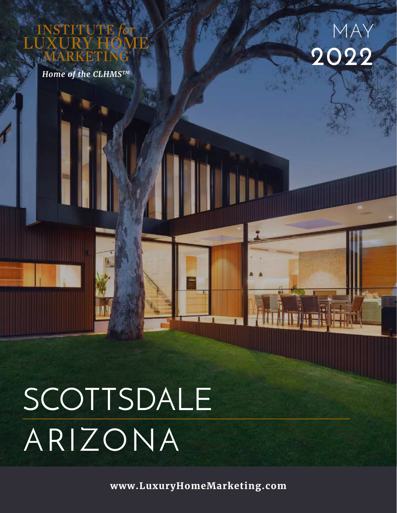UTE

*Home of the CLHMSTM*



SCOTTSDALE ARIZONA

**www.LuxuryHomeMarketing.com**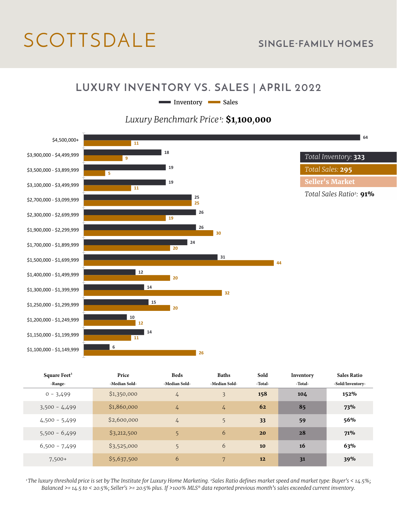# SCOTTSDALE **SINGLE-FAMILY HOMES**

#### **LUXURY INVENTORY VS. SALES | APRIL 2022**

Inventory Sales

#### *Luxury Benchmark Price<sup>1</sup>:* **\$1***,***100***,***000**



| Square Feet <sup>3</sup> | Price         | <b>Beds</b>    | <b>Baths</b>  | Sold    | Inventory | <b>Sales Ratio</b> |
|--------------------------|---------------|----------------|---------------|---------|-----------|--------------------|
| -Range-                  | -Median Sold- | -Median Sold-  | -Median Sold- | -Total- | -Total-   | -Sold/Inventory-   |
| $0 - 3,499$              | \$1,350,000   | $\frac{1}{4}$  | 3             | 158     | 104       | 152%               |
| $3,500 - 4,499$          | \$1,860,000   | 4              | $\frac{1}{4}$ | 62      | 85        | 73%                |
| $4,500 - 5,499$          | \$2,600,000   | $\overline{4}$ | 5             | 33      | 59        | 56%                |
| $5,500 - 6,499$          | \$3,212,500   | 5              | 6             | 20      | 28        | 71%                |
| $6,500 - 7,499$          | \$3,525,000   | 5              | 6             | 10      | 16        | 63%                |
| $7,500+$                 | \$5,637,500   | 6              | 7             | 12      | 31        | 39%                |

*1 The luxury threshold price is set by The Institute for Luxury Home Marketing. 2Sales Ratio defines market speed and market type: Buyer's < 14.5%; Balanced >= 14.5 to < 20.5%; Seller's >= 20.5% plus. If >100% MLS® data reported previous month's sales exceeded current inventory.*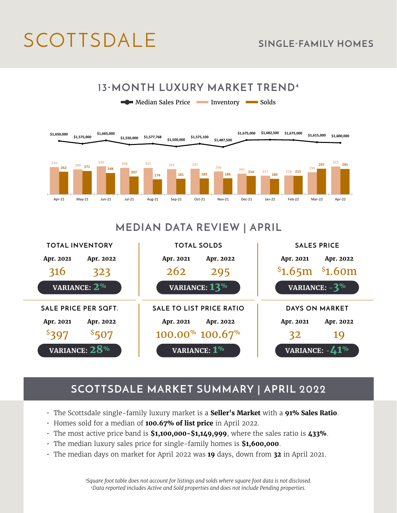# SCOTTSDALE **SINGLE-FAMILY HOMES**



### **MEDIAN DATA REVIEW | APRIL**



## **SCOTTSDALE MARKET SUMMARY | APRIL 2022**

- The Scottsdale single-family luxury market is a **Seller's Market** with a **91% Sales Ratio**.
- Homes sold for a median of **100.67% of list price** in April 2022.
- The most active price band is **\$1,100,000-\$1,149,999**, where the sales ratio is **433%**.
- The median luxury sales price for single-family homes is **\$1,600,000**.
- The median days on market for April 2022 was **19** days, down from **32** in April 2021.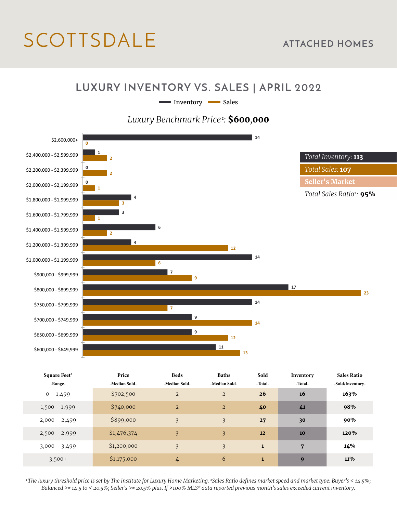# SCOTTSDALE **ATTACHED HOMES**

#### **LUXURY INVENTORY VS. SALES | APRIL 2022**

Inventory Sales

*Luxury Benchmark Price<sup>1</sup>:* **\$600***,***000**



| Square Feet <sup>3</sup> | Price         | <b>Beds</b>    | <b>Baths</b>   | Sold         | Inventory | <b>Sales Ratio</b> |
|--------------------------|---------------|----------------|----------------|--------------|-----------|--------------------|
| -Range-                  | -Median Sold- | -Median Sold-  | -Median Sold-  | -Total-      | -Total-   | -Sold/Inventory-   |
| $0 - 1,499$              | \$702,500     | $\overline{2}$ | $\overline{2}$ | 26           | 16        | 163%               |
| $1,500 - 1,999$          | \$740,000     | $\overline{2}$ | $\overline{2}$ | 40           | 41        | 98%                |
| $2,000 - 2,499$          | \$899,000     | 3              | 3              | 27           | 30        | 90%                |
| $2,500 - 2,999$          | \$1,476,374   | 3              | 3              | 12           | 10        | 120%               |
| $3,000 - 3,499$          | \$1,200,000   | 3              | 3              | $\mathbf{1}$ | 7         | 14%                |
| $3,500+$                 | \$1,175,000   | 4              | 6              | $\mathbf{1}$ | 9         | <b>11%</b>         |

*1 The luxury threshold price is set by The Institute for Luxury Home Marketing. 2Sales Ratio defines market speed and market type: Buyer's < 14.5%; Balanced >= 14.5 to < 20.5%; Seller's >= 20.5% plus. If >100% MLS® data reported previous month's sales exceeded current inventory.*